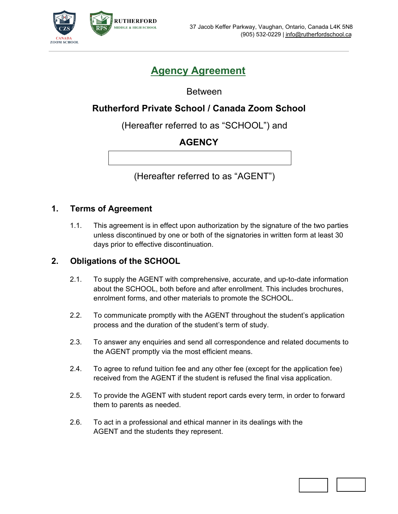

# **Agency Agreement**

Between

# **Rutherford Private School / Canada Zoom School**

(Hereafter referred to as "SCHOOL") and

# **AGENCY**

(Hereafter referred to as "AGENT")

#### **1. Terms of Agreement**

1.1. This agreement is in effect upon authorization by the signature of the two parties unless discontinued by one or both of the signatories in written form at least 30 days prior to effective discontinuation.

### **2. Obligations of the SCHOOL**

- 2.1. To supply the AGENT with comprehensive, accurate, and up-to-date information about the SCHOOL, both before and after enrollment. This includes brochures, enrolment forms, and other materials to promote the SCHOOL.
- 2.2. To communicate promptly with the AGENT throughout the student's application process and the duration of the student's term of study.
- 2.3. To answer any enquiries and send all correspondence and related documents to the AGENT promptly via the most efficient means.
- 2.4. To agree to refund tuition fee and any other fee (except for the application fee) received from the AGENT if the student is refused the final visa application.
- 2.5. To provide the AGENT with student report cards every term, in order to forward them to parents as needed.
- 2.6. To act in a professional and ethical manner in its dealings with the AGENT and the students they represent.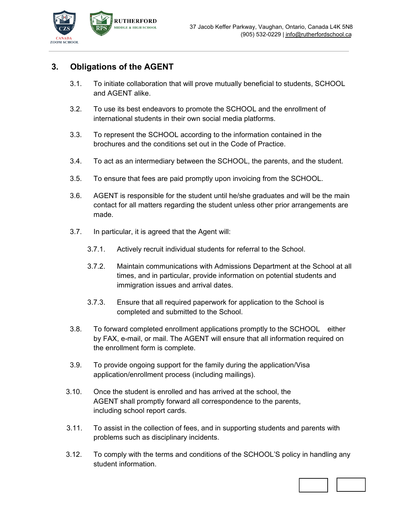

## **3. Obligations of the AGENT**

- 3.1. To initiate collaboration that will prove mutually beneficial to students, SCHOOL and AGENT alike.
- 3.2. To use its best endeavors to promote the SCHOOL and the enrollment of international students in their own social media platforms.
- 3.3. To represent the SCHOOL according to the information contained in the brochures and the conditions set out in the Code of Practice.
- 3.4. To act as an intermediary between the SCHOOL, the parents, and the student.
- 3.5. To ensure that fees are paid promptly upon invoicing from the SCHOOL.
- 3.6. AGENT is responsible for the student until he/she graduates and will be the main contact for all matters regarding the student unless other prior arrangements are made.
- 3.7. In particular, it is agreed that the Agent will:
	- 3.7.1. Actively recruit individual students for referral to the School.
	- 3.7.2. Maintain communications with Admissions Department at the School at all times, and in particular, provide information on potential students and immigration issues and arrival dates.
	- 3.7.3. Ensure that all required paperwork for application to the School is completed and submitted to the School.
- 3.8. To forward completed enrollment applications promptly to the SCHOOL either by FAX, e-mail, or mail. The AGENT will ensure that all information required on the enrollment form is complete.
- 3.9. To provide ongoing support for the family during the application/Visa application/enrollment process (including mailings).
- 3.10. Once the student is enrolled and has arrived at the school, the AGENT shall promptly forward all correspondence to the parents, including school report cards.
- 3.11. To assist in the collection of fees, and in supporting students and parents with problems such as disciplinary incidents.
- 3.12. To comply with the terms and conditions of the SCHOOL'S policy in handling any student information.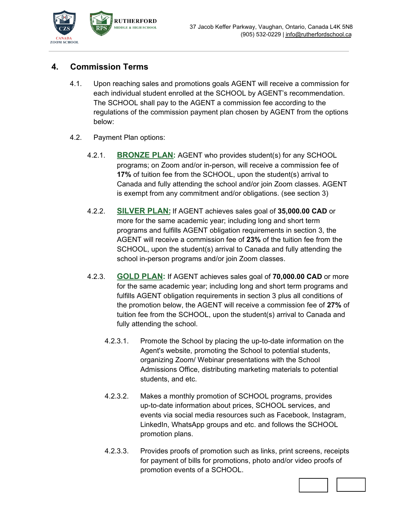

## **4. Commission Terms**

- 4.1. Upon reaching sales and promotions goals AGENT will receive a commission for each individual student enrolled at the SCHOOL by AGENT's recommendation. The SCHOOL shall pay to the AGENT a commission fee according to the regulations of the commission payment plan chosen by AGENT from the options below:
- 4.2. Payment Plan options:
	- 4.2.1. **BRONZE PLAN:** AGENT who provides student(s) for any SCHOOL programs; on Zoom and/or in-person, will receive a commission fee of **17%** of tuition fee from the SCHOOL, upon the student(s) arrival to Canada and fully attending the school and/or join Zoom classes. AGENT is exempt from any commitment and/or obligations. (see section 3)
	- 4.2.2. **SILVER PLAN:** If AGENT achieves sales goal of **35,000.00 CAD** or more for the same academic year; including long and short term programs and fulfills AGENT obligation requirements in section 3, the AGENT will receive a commission fee of **23%** of the tuition fee from the SCHOOL, upon the student(s) arrival to Canada and fully attending the school in-person programs and/or join Zoom classes.
	- 4.2.3. **GOLD PLAN:** If AGENT achieves sales goal of **70,000.00 CAD** or more for the same academic year; including long and short term programs and fulfills AGENT obligation requirements in section 3 plus all conditions of the promotion below, the AGENT will receive a commission fee of **27%** of tuition fee from the SCHOOL, upon the student(s) arrival to Canada and fully attending the school.
		- 4.2.3.1. Promote the School by placing the up-to-date information on the Agent's website, promoting the School to potential students, organizing Zoom/ Webinar presentations with the School Admissions Office, distributing marketing materials to potential students, and etc.
		- 4.2.3.2. Makes a monthly promotion of SCHOOL programs, provides up-to-date information about prices, SCHOOL services, and events via social media resources such as Facebook, Instagram, LinkedIn, WhatsApp groups and etc. and follows the SCHOOL promotion plans.
		- 4.2.3.3. Provides proofs of promotion such as links, print screens, receipts for payment of bills for promotions, photo and/or video proofs of promotion events of a SCHOOL.